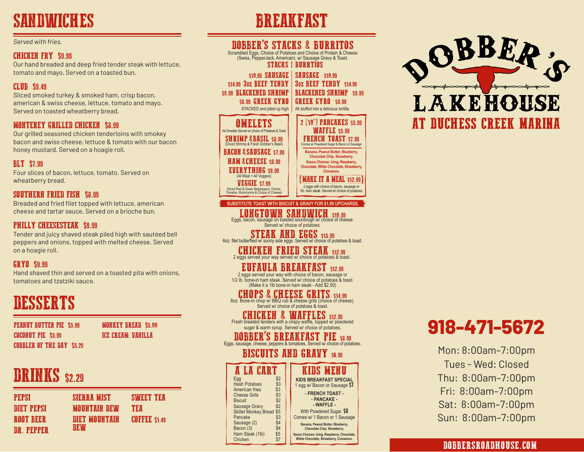# SANDWICHES BREAKFAST

#### *Served with fries.*

#### CHICKEN FRY \$9.99

Our hand breaded and deep fried tender steak with lettuce, tomato and mayo. Served on a toasted bun.

#### CLUB \$9.49

Sliced smoked turkey & smoked ham, crisp bacon, american & swiss cheese, lettuce, tomato and mayo. Served on toasted wheatberry bread.

## MONTEREY GRILLED CHICKEN \$8.99

Our grilled seasoned chicken tenderloins with smokey bacon and swiss cheese, lettuce & tomato with our bacon honey mustard. Served on a hoagie roll.

## BLT \$7.99

Four slices of bacon, lettuce, tomato. Served on wheatberry bread.

## SOUTHERN FRIED FISH \$8.99

Breaded and fried filet topped with lettuce, american cheese and tartar sauce. Served on a brioche bun.

#### PHILLY CHEESESTEAK \$9.99

Tender and juicy shaved steak piled high with sautéed bell peppers and onions, topped with melted cheese. Served on a hoagie roll.

### **GRYO** \$9.99

Hand shaved thin and served on a toasted pita with onions, tomatoes and tzatziki sauce.

# DESSERTS

PEANUT BUTTER PIE \$5.99 COCONUT PIE \$5.99 COBBLER OF THE DAY \$5.29

MONKEY BREAD \$5.00 ICE CREAM: VANILLA

# **DRINKS** \$2.29

| PEPSI       | <b>SIERRA MIST</b>   | <b>SMEET TEA</b>    |
|-------------|----------------------|---------------------|
| DIET PEPSI  | <b>MOUNTAIN DEW</b>  | TEA                 |
| ROOT BEER   | <b>DIET MOUNTAIN</b> | <b>COFFEE S1.49</b> |
| DR. PEPPER- | DEW                  |                     |



2 eggs served your way with choice of bacon, sausage or 1/2 lb. bone-in ham steak. Served w/ choice of potatoes & toast. (Make it a 1lb bone-in ham steak - Add \$2.50)

# CHOPS & CHEESE GRITS \$14.99<br>8oz. Bone-in chop w/ BBQ rub & cheese grits (choice of cheese).

Served w/ choice of potatoes & toast.

CHICKEN & WAFFLES \$12.99 Fresh breaded tenders with a crispy waffle, topped w/ powdered sugar & warm syrup. Served w/ choice of potatoes.

# **DOBBER'S BREAKFAST PIE** \$8.99

# **BISCUITS AND GRAVY \$6.99**

| A LA CART                              |            | <b>KIDS MENU</b>                                                                      |
|----------------------------------------|------------|---------------------------------------------------------------------------------------|
| Egg                                    | \$2        | <b>KIDS BREAKFAST SPECIAL</b>                                                         |
| <b>Hash Potatoes</b><br>American fries | \$3<br>\$3 | 1 egg w/ Bacon or Sausage \$7                                                         |
| <b>Cheese Grits</b>                    | \$3        | - FRENCH TOAST -                                                                      |
| <b>Biscuit</b>                         | \$2        | - PANCAKE -                                                                           |
| Sausage Gravy                          | \$2        | - WAFFLE -                                                                            |
| <b>Skillet Monkey Bread \$5</b>        |            | With Powdered Sugar. \$8                                                              |
| Pancake                                | \$3        | Comes w/ 1 Bacon or 1 Sausage                                                         |
| Sausage (2)                            | \$4        | Banana, Peanut Butter, Blueberry,                                                     |
| Bacon (3)<br>Ham Steak (1lb)           | \$4<br>\$5 | Chocolate Chip, Strawberry.                                                           |
| Chicken                                | \$7        | Sauce Choices: Icing, Raspberry, Chocolate.<br>White Chocolate, Strawberry, Cinnamon. |
|                                        |            |                                                                                       |



# **918-471-5672**

Mon: 8:00am–7:00pm Tues - Wed: Closed Thu: 8:00am–7:00pm Fri: 8:00am–7:00pm Sat: 8:00am–7:00pm Sun: 8:00am–7:00pm

## DOBBERSROADHOUSE.COM